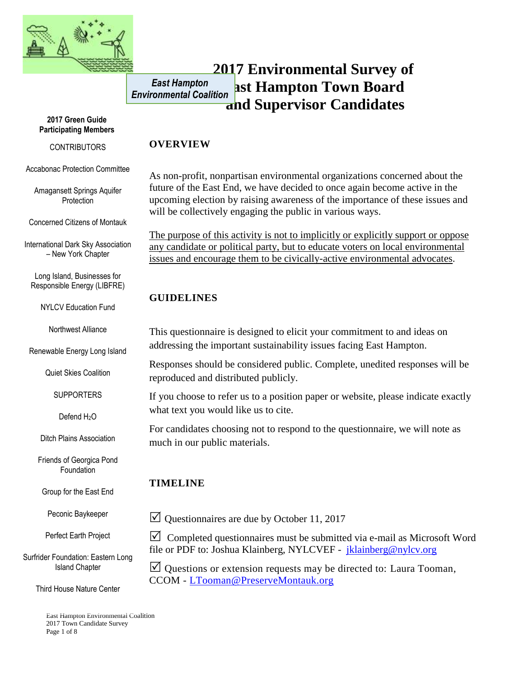

#### **2017 Environmental Survey of East Hampton Town Board and Supervisor Candidates** *East Hampton Environmental Coalition*

#### **2017 Green Guide Participating Members**

#### **CONTRIBUTORS**

Accabonac Protection Committee

Amagansett Springs Aquifer **Protection** 

Concerned Citizens of Montauk

International Dark Sky Association – New York Chapter

Long Island, Businesses for Responsible Energy (LIBFRE)

NYLCV Education Fund

Northwest Alliance

Renewable Energy Long Island

Quiet Skies Coalition

**SUPPORTERS** 

Defend H<sub>2</sub>O

Ditch Plains Association

Friends of Georgica Pond Foundation

Group for the East End

Peconic Baykeeper

Perfect Earth Project

Surfrider Foundation: Eastern Long Island Chapter

Third House Nature Center

East Hampton Environmental Coalition 2017 Town Candidate Survey Page 1 of 8

#### **OVERVIEW**

As non-profit, nonpartisan environmental organizations concerned about the future of the East End, we have decided to once again become active in the upcoming election by raising awareness of the importance of these issues and will be collectively engaging the public in various ways.

The purpose of this activity is not to implicitly or explicitly support or oppose any candidate or political party, but to educate voters on local environmental issues and encourage them to be civically-active environmental advocates.

## **GUIDELINES**

This questionnaire is designed to elicit your commitment to and ideas on addressing the important sustainability issues facing East Hampton.

Responses should be considered public. Complete, unedited responses will be reproduced and distributed publicly.

If you choose to refer us to a position paper or website, please indicate exactly what text you would like us to cite.

For candidates choosing not to respond to the questionnaire, we will note as much in our public materials.

# **TIMELINE**

 $\vee$  Questionnaires are due by October 11, 2017

 $\triangledown$  Completed questionnaires must be submitted via e-mail as Microsoft Word file or PDF to: Joshua Klainberg, NYLCVEF - [jklainberg@nylcv.org](mailto:jklainberg@nylcv.org)

 $\Box$  Questions or extension requests may be directed to: Laura Tooman, CCOM - [LTooman@PreserveMontauk.org](mailto:LTooman@PreserveMontauk.org)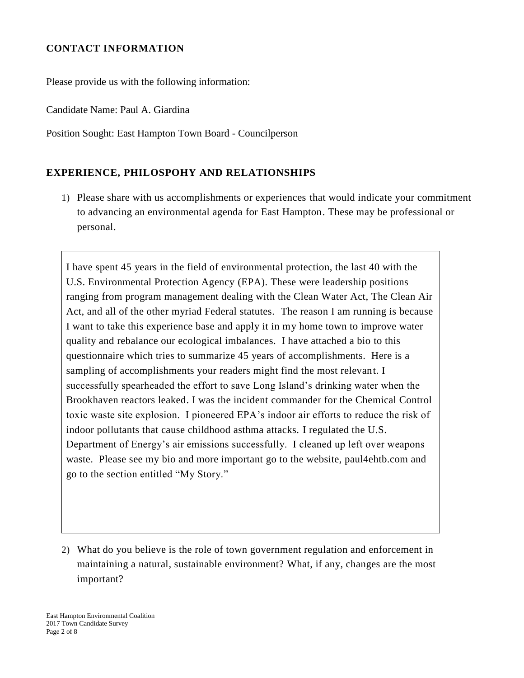### **CONTACT INFORMATION**

Please provide us with the following information:

Candidate Name: Paul A. Giardina

Position Sought: East Hampton Town Board - Councilperson

## **EXPERIENCE, PHILOSPOHY AND RELATIONSHIPS**

1) Please share with us accomplishments or experiences that would indicate your commitment to advancing an environmental agenda for East Hampton. These may be professional or personal.

I have spent 45 years in the field of environmental protection, the last 40 with the U.S. Environmental Protection Agency (EPA). These were leadership positions ranging from program management dealing with the Clean Water Act, The Clean Air Act, and all of the other myriad Federal statutes. The reason I am running is because I want to take this experience base and apply it in my home town to improve water quality and rebalance our ecological imbalances. I have attached a bio to this questionnaire which tries to summarize 45 years of accomplishments. Here is a sampling of accomplishments your readers might find the most relevant. I successfully spearheaded the effort to save Long Island's drinking water when the Brookhaven reactors leaked. I was the incident commander for the Chemical Control toxic waste site explosion. I pioneered EPA's indoor air efforts to reduce the risk of indoor pollutants that cause childhood asthma attacks. I regulated the U.S. Department of Energy's air emissions successfully. I cleaned up left over weapons waste. Please see my bio and more important go to the website, paul4ehtb.com and go to the section entitled "My Story."

2) What do you believe is the role of town government regulation and enforcement in maintaining a natural, sustainable environment? What, if any, changes are the most important?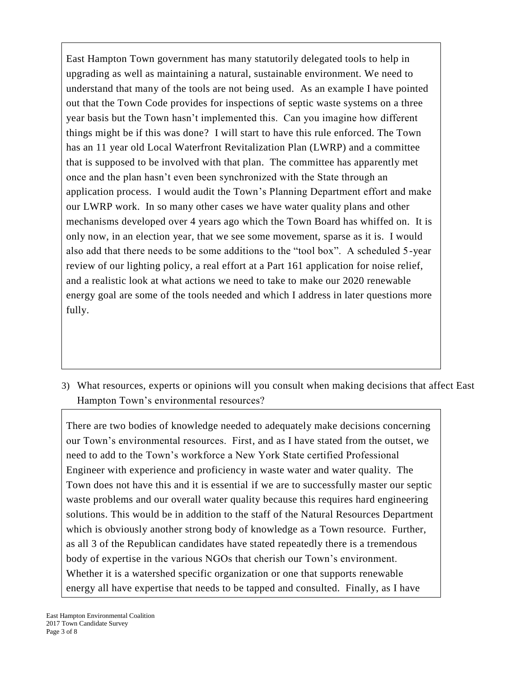East Hampton Town government has many statutorily delegated tools to help in upgrading as well as maintaining a natural, sustainable environment. We need to understand that many of the tools are not being used. As an example I have pointed out that the Town Code provides for inspections of septic waste systems on a three year basis but the Town hasn't implemented this. Can you imagine how different things might be if this was done? I will start to have this rule enforced. The Town has an 11 year old Local Waterfront Revitalization Plan (LWRP) and a committee that is supposed to be involved with that plan. The committee has apparently met once and the plan hasn't even been synchronized with the State through an application process. I would audit the Town's Planning Department effort and make our LWRP work. In so many other cases we have water quality plans and other mechanisms developed over 4 years ago which the Town Board has whiffed on. It is only now, in an election year, that we see some movement, sparse as it is. I would also add that there needs to be some additions to the "tool box". A scheduled 5-year review of our lighting policy, a real effort at a Part 161 application for noise relief, and a realistic look at what actions we need to take to make our 2020 renewable energy goal are some of the tools needed and which I address in later questions more fully.

3) What resources, experts or opinions will you consult when making decisions that affect East Hampton Town's environmental resources?

There are two bodies of knowledge needed to adequately make decisions concerning our Town's environmental resources. First, and as I have stated from the outset, we need to add to the Town's workforce a New York State certified Professional Engineer with experience and proficiency in waste water and water quality. The Town does not have this and it is essential if we are to successfully master our septic waste problems and our overall water quality because this requires hard engineering solutions. This would be in addition to the staff of the Natural Resources Department which is obviously another strong body of knowledge as a Town resource. Further, as all 3 of the Republican candidates have stated repeatedly there is a tremendous body of expertise in the various NGOs that cherish our Town's environment. Whether it is a watershed specific organization or one that supports renewable energy all have expertise that needs to be tapped and consulted. Finally, as I have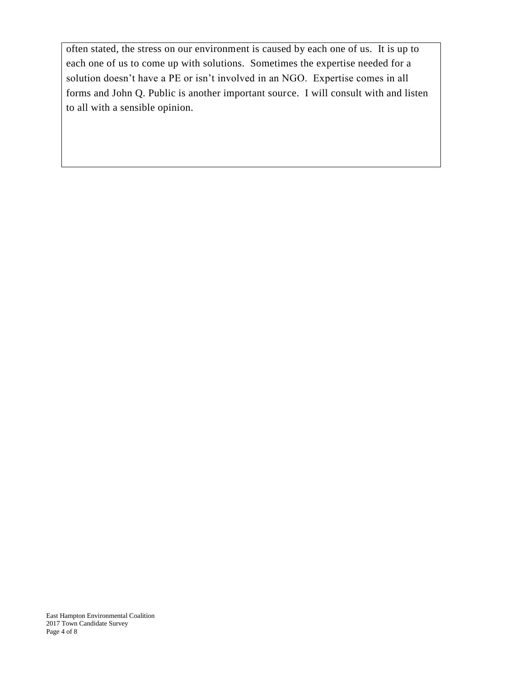often stated, the stress on our environment is caused by each one of us. It is up to each one of us to come up with solutions. Sometimes the expertise needed for a solution doesn't have a PE or isn't involved in an NGO. Expertise comes in all forms and John Q. Public is another important source. I will consult with and listen to all with a sensible opinion.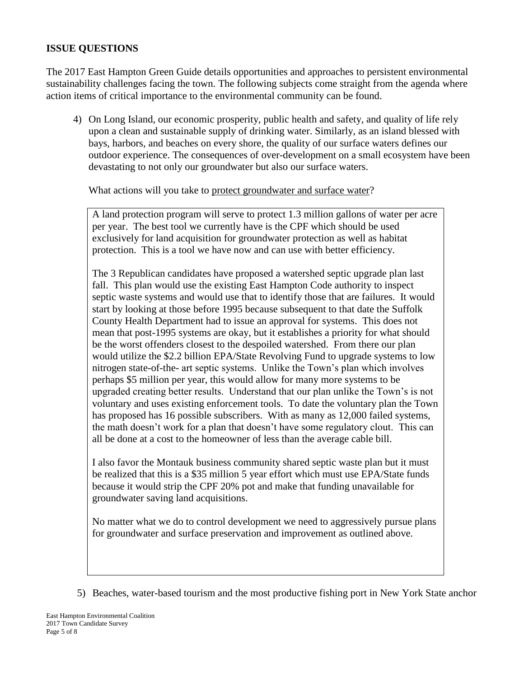#### **ISSUE QUESTIONS**

The 2017 East Hampton Green Guide details opportunities and approaches to persistent environmental sustainability challenges facing the town. The following subjects come straight from the agenda where action items of critical importance to the environmental community can be found.

4) On Long Island, our economic prosperity, public health and safety, and quality of life rely upon a clean and sustainable supply of drinking water. Similarly, as an island blessed with bays, harbors, and beaches on every shore, the quality of our surface waters defines our outdoor experience. The consequences of over-development on a small ecosystem have been devastating to not only our groundwater but also our surface waters.

What actions will you take to protect groundwater and surface water?

A land protection program will serve to protect 1.3 million gallons of water per acre per year. The best tool we currently have is the CPF which should be used exclusively for land acquisition for groundwater protection as well as habitat protection. This is a tool we have now and can use with better efficiency.

The 3 Republican candidates have proposed a watershed septic upgrade plan last fall. This plan would use the existing East Hampton Code authority to inspect septic waste systems and would use that to identify those that are failures. It would start by looking at those before 1995 because subsequent to that date the Suffolk County Health Department had to issue an approval for systems. This does not mean that post-1995 systems are okay, but it establishes a priority for what should be the worst offenders closest to the despoiled watershed. From there our plan would utilize the \$2.2 billion EPA/State Revolving Fund to upgrade systems to low nitrogen state-of-the- art septic systems. Unlike the Town's plan which involves perhaps \$5 million per year, this would allow for many more systems to be upgraded creating better results. Understand that our plan unlike the Town's is not voluntary and uses existing enforcement tools. To date the voluntary plan the Town has proposed has 16 possible subscribers. With as many as 12,000 failed systems, the math doesn't work for a plan that doesn't have some regulatory clout. This can all be done at a cost to the homeowner of less than the average cable bill.

I also favor the Montauk business community shared septic waste plan but it must be realized that this is a \$35 million 5 year effort which must use EPA/State funds because it would strip the CPF 20% pot and make that funding unavailable for groundwater saving land acquisitions.

No matter what we do to control development we need to aggressively pursue plans for groundwater and surface preservation and improvement as outlined above.

5) Beaches, water-based tourism and the most productive fishing port in New York State anchor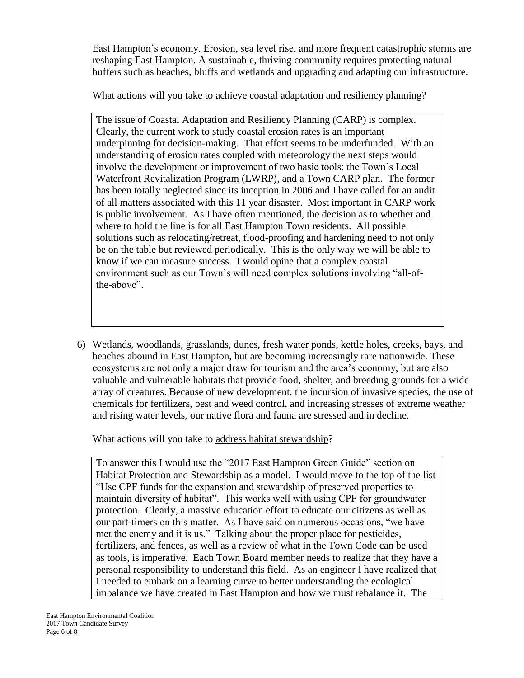East Hampton's economy. Erosion, sea level rise, and more frequent catastrophic storms are reshaping East Hampton. A sustainable, thriving community requires protecting natural buffers such as beaches, bluffs and wetlands and upgrading and adapting our infrastructure.

What actions will you take to achieve coastal adaptation and resiliency planning?

The issue of Coastal Adaptation and Resiliency Planning (CARP) is complex. Clearly, the current work to study coastal erosion rates is an important underpinning for decision-making. That effort seems to be underfunded. With an understanding of erosion rates coupled with meteorology the next steps would involve the development or improvement of two basic tools: the Town's Local Waterfront Revitalization Program (LWRP), and a Town CARP plan. The former has been totally neglected since its inception in 2006 and I have called for an audit of all matters associated with this 11 year disaster. Most important in CARP work is public involvement. As I have often mentioned, the decision as to whether and where to hold the line is for all East Hampton Town residents. All possible solutions such as relocating/retreat, flood-proofing and hardening need to not only be on the table but reviewed periodically. This is the only way we will be able to know if we can measure success. I would opine that a complex coastal environment such as our Town's will need complex solutions involving "all-ofthe-above".

6) Wetlands, woodlands, grasslands, dunes, fresh water ponds, kettle holes, creeks, bays, and beaches abound in East Hampton, but are becoming increasingly rare nationwide. These ecosystems are not only a major draw for tourism and the area's economy, but are also valuable and vulnerable habitats that provide food, shelter, and breeding grounds for a wide array of creatures. Because of new development, the incursion of invasive species, the use of chemicals for fertilizers, pest and weed control, and increasing stresses of extreme weather and rising water levels, our native flora and fauna are stressed and in decline.

What actions will you take to address habitat stewardship?

To answer this I would use the "2017 East Hampton Green Guide" section on Habitat Protection and Stewardship as a model. I would move to the top of the list "Use CPF funds for the expansion and stewardship of preserved properties to maintain diversity of habitat". This works well with using CPF for groundwater protection. Clearly, a massive education effort to educate our citizens as well as our part-timers on this matter. As I have said on numerous occasions, "we have met the enemy and it is us." Talking about the proper place for pesticides, fertilizers, and fences, as well as a review of what in the Town Code can be used as tools, is imperative. Each Town Board member needs to realize that they have a personal responsibility to understand this field. As an engineer I have realized that I needed to embark on a learning curve to better understanding the ecological imbalance we have created in East Hampton and how we must rebalance it. The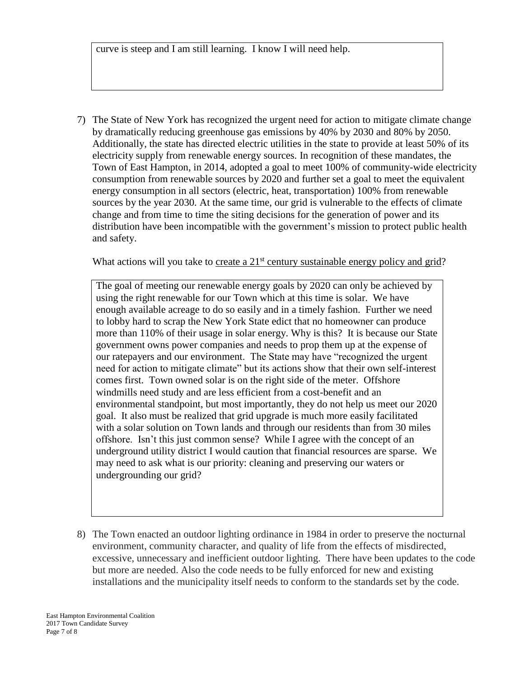curve is steep and I am still learning. I know I will need help.

7) The State of New York has recognized the urgent need for action to mitigate climate change by dramatically reducing greenhouse gas emissions by 40% by 2030 and 80% by 2050. Additionally, the state has directed electric utilities in the state to provide at least 50% of its electricity supply from renewable energy sources. In recognition of these mandates, the Town of East Hampton, in 2014, adopted a goal to meet 100% of community-wide electricity consumption from renewable sources by 2020 and further set a goal to meet the equivalent energy consumption in all sectors (electric, heat, transportation) 100% from renewable sources by the year 2030. At the same time, our grid is vulnerable to the effects of climate change and from time to time the siting decisions for the generation of power and its distribution have been incompatible with the government's mission to protect public health and safety.

What actions will you take to create a  $21<sup>st</sup>$  century sustainable energy policy and grid?

The goal of meeting our renewable energy goals by 2020 can only be achieved by using the right renewable for our Town which at this time is solar. We have enough available acreage to do so easily and in a timely fashion. Further we need to lobby hard to scrap the New York State edict that no homeowner can produce more than 110% of their usage in solar energy. Why is this? It is because our State government owns power companies and needs to prop them up at the expense of our ratepayers and our environment. The State may have "recognized the urgent need for action to mitigate climate" but its actions show that their own self-interest comes first. Town owned solar is on the right side of the meter. Offshore windmills need study and are less efficient from a cost-benefit and an environmental standpoint, but most importantly, they do not help us meet our 2020 goal. It also must be realized that grid upgrade is much more easily facilitated with a solar solution on Town lands and through our residents than from 30 miles offshore. Isn't this just common sense? While I agree with the concept of an underground utility district I would caution that financial resources are sparse. We may need to ask what is our priority: cleaning and preserving our waters or undergrounding our grid?

8) The Town enacted an outdoor lighting ordinance in 1984 in order to preserve the nocturnal environment, community character, and quality of life from the effects of misdirected, excessive, unnecessary and inefficient outdoor lighting. There have been updates to the code but more are needed. Also the code needs to be fully enforced for new and existing installations and the municipality itself needs to conform to the standards set by the code.